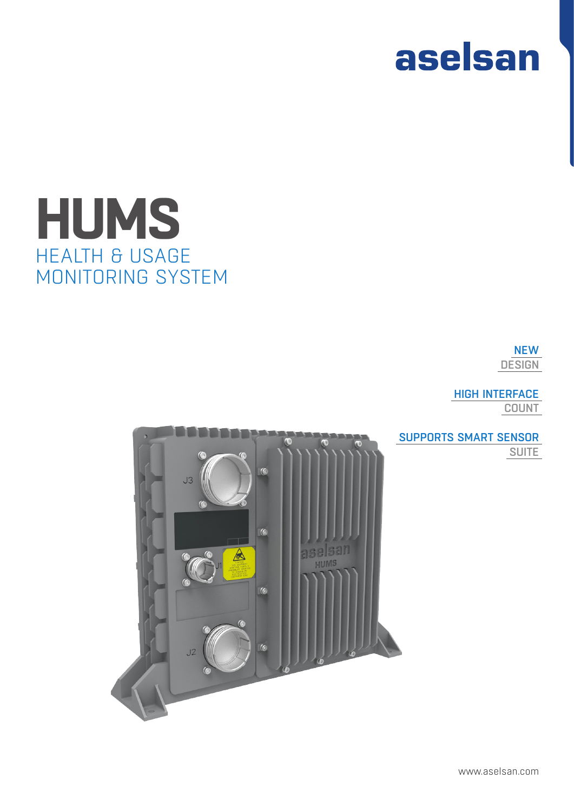

# HEALTH & USAGE MONITORING SYSTEM **HUMS**

NEW **DESIGN** 

HIGH INTERFACE

**COUNT** 



SUPPORTS SMART SENSOR **SUITE**